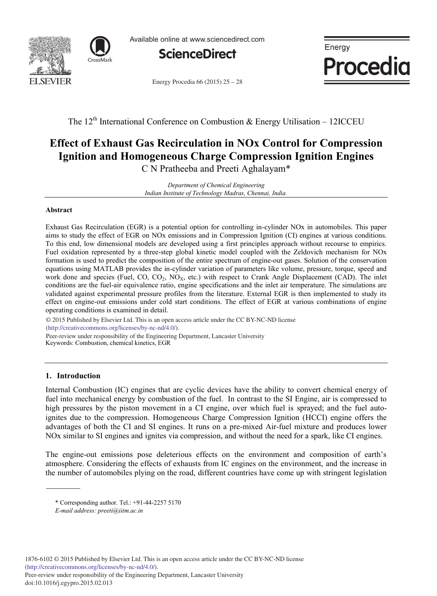



Available online at www.sciencedirect.com



Energy Procedia  $66 (2015) 25 - 28$ 



The  $12<sup>th</sup>$  International Conference on Combustion & Energy Utilisation – 12ICCEU

# **Effect of Exhaust Gas Recirculation in NOx Control for Compression Ignition and Homogeneous Charge Compression Ignition Engines**

C N Pratheeba and Preeti Aghalayam\*

*Department of Chemical Engineering Indian Institute of Technology Madras, Chennai, India.*

## **Abstract**

Exhaust Gas Recirculation (EGR) is a potential option for controlling in-cylinder NOx in automobiles. This paper aims to study the effect of EGR on NOx emissions and in Compression Ignition (CI) engines at various conditions. To this end, low dimensional models are developed using a first principles approach without recourse to empirics. Fuel oxidation represented by a three-step global kinetic model coupled with the Zeldovich mechanism for NOx formation is used to predict the composition of the entire spectrum of engine-out gases. Solution of the conservation equations using MATLAB provides the in-cylinder variation of parameters like volume, pressure, torque, speed and work done and species (Fuel, CO,  $CO_2$ , NO<sub>X</sub>, etc.) with respect to Crank Angle Displacement (CAD). The inlet conditions are the fuel-air equivalence ratio, engine specifications and the inlet air temperature. The simulations are validated against experimental pressure profiles from the literature. External EGR is then implemented to study its effect on engine-out emissions under cold start conditions. The effect of EGR at various combinations of engine operating conditions is examined in detail.

(http://creativecommons.org/licenses/by-nc-nd/4.0/). Peer-review under responsibility of the Engineering Department, Lancaster University © 2015 Published by Elsevier Ltd. This is an open access article under the CC BY-NC-ND license

Keywords: Combustion, chemical kinetics, EGR

## **1. Introduction**

Internal Combustion (IC) engines that are cyclic devices have the ability to convert chemical energy of fuel into mechanical energy by combustion of the fuel. In contrast to the SI Engine, air is compressed to high pressures by the piston movement in a CI engine, over which fuel is sprayed; and the fuel autoignites due to the compression. Homogeneous Charge Compression Ignition (HCCI) engine offers the advantages of both the CI and SI engines. It runs on a pre-mixed Air-fuel mixture and produces lower NOx similar to SI engines and ignites via compression, and without the need for a spark, like CI engines.

The engine-out emissions pose deleterious effects on the environment and composition of earth's atmosphere. Considering the effects of exhausts from IC engines on the environment, and the increase in the number of automobiles plying on the road, different countries have come up with stringent legislation

<sup>\*</sup> Corresponding author. Tel.: +91-44-2257 5170

*E-mail address: preeti@iitm.ac.in*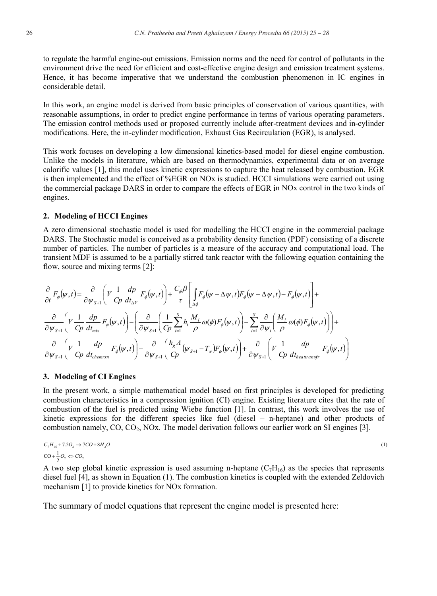to regulate the harmful engine-out emissions. Emission norms and the need for control of pollutants in the environment drive the need for efficient and cost-effective engine design and emission treatment systems. Hence, it has become imperative that we understand the combustion phenomenon in IC engines in considerable detail.

In this work, an engine model is derived from basic principles of conservation of various quantities, with reasonable assumptions, in order to predict engine performance in terms of various operating parameters. The emission control methods used or proposed currently include after-treatment devices and in-cylinder modifications. Here, the in-cylinder modification, Exhaust Gas Recirculation (EGR), is analysed.

This work focuses on developing a low dimensional kinetics-based model for diesel engine combustion. Unlike the models in literature, which are based on thermodynamics, experimental data or on average calorific values [1], this model uses kinetic expressions to capture the heat released by combustion. EGR is then implemented and the effect of %EGR on NOx is studied. HCCI simulations were carried out using the commercial package DARS in order to compare the effects of EGR in NOx control in the two kinds of engines.

#### **2. Modeling of HCCI Engines**

A zero dimensional stochastic model is used for modelling the HCCI engine in the commercial package DARS. The Stochastic model is conceived as a probability density function (PDF) consisting of a discrete number of particles. The number of particles is a measure of the accuracy and computational load. The transient MDF is assumed to be a partially stirred tank reactor with the following equation containing the flow, source and mixing terms [2]:

$$
\frac{\partial}{\partial t}F_{\phi}(\psi,t) = \frac{\partial}{\partial \psi_{S+1}} \left( V \frac{1}{Cp} \frac{dp}{dt_{\Delta V}} F_{\phi}(\psi,t) \right) + \frac{C_{\phi} \beta}{\tau} \left[ \int_{\Delta \phi} F_{\phi}(\psi - \Delta \psi, t) F_{\phi}(\psi + \Delta \psi, t) - F_{\phi}(\psi, t) \right] +
$$
\n
$$
\frac{\partial}{\partial \psi_{S+1}} \left( V \frac{1}{Cp} \frac{dp}{dt_{mix}} F_{\phi}(\psi, t) \right) - \left( \frac{\partial}{\partial \psi_{S+1}} \left( \frac{1}{Cp} \sum_{i=1}^{S} h_i \frac{M_i}{\rho} \omega(\phi) F_{\phi}(\psi, t) \right) - \sum_{i=1}^{S} \frac{\partial}{\partial \psi_i} \left( \frac{M_i}{\rho} \omega(\phi) F_{\phi}(\psi, t) \right) \right) +
$$
\n
$$
\frac{\partial}{\partial \psi_{S+1}} \left( V \frac{1}{Cp} \frac{dp}{dt_{\text{chemran}}} F_{\phi}(\psi, t) \right) - \frac{\partial}{\partial \psi_{S+1}} \left( \frac{h_g A}{Cp} (\psi_{S+1} - T_w) F_{\phi}(\psi, t) \right) + \frac{\partial}{\partial \psi_{S+1}} \left( V \frac{1}{Cp} \frac{dp}{dt_{\text{heatranas}} F_{\phi}(\psi, t) \right)
$$

## **3. Modeling of CI Engines**

In the present work, a simple mathematical model based on first principles is developed for predicting combustion characteristics in a compression ignition (CI) engine. Existing literature cites that the rate of combustion of the fuel is predicted using Wiebe function [1]. In contrast, this work involves the use of kinetic expressions for the different species like fuel (diesel – n-heptane) and other products of combustion namely,  $CO$ ,  $CO_2$ ,  $NOx$ . The model derivation follows our earlier work on SI engines [3].

$$
C_7H_{16} + 7.5O_2 \rightarrow 7CO + 8H_2O
$$
  
\n
$$
CO + \frac{1}{2}O_2 \Leftrightarrow CO_2
$$
\n(1)

A two step global kinetic expression is used assuming n-heptane  $(C_7H_{16})$  as the species that represents diesel fuel [4], as shown in Equation (1). The combustion kinetics is coupled with the extended Zeldovich mechanism [1] to provide kinetics for NOx formation.

The summary of model equations that represent the engine model is presented here: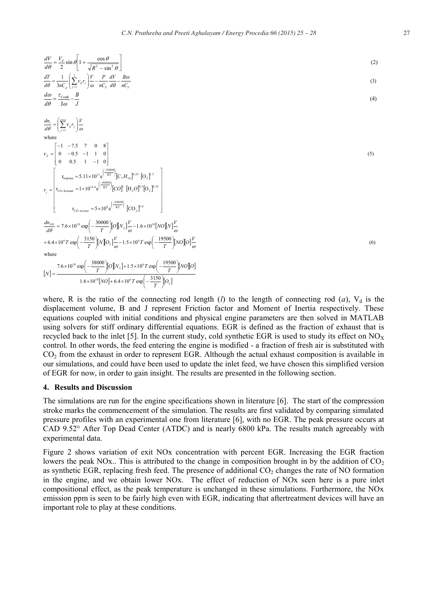$$
\frac{dV}{d\theta} = \frac{V_d}{2} \sin \theta \left[ 1 + \frac{\cos \theta}{\sqrt{R^2 - \sin^2 \theta}} \right]
$$
\n(2)  
\n
$$
\frac{dT}{d\theta} = \frac{1}{3nC_p} \left( \frac{1}{2} V_g r_g \right) \frac{V}{\omega} - \frac{P}{nC_p} \frac{dV}{d\theta} - \frac{B\omega}{nC_p}
$$
\n(3)  
\n
$$
\frac{d\omega}{d\theta} = \frac{r_{\text{Coub}}}{1\omega} - \frac{B}{J}
$$
\n(4)  
\nwhere  
\n
$$
V_g = \begin{bmatrix} -1 & -7.5 & 7 & 0 & 8 \\ 0 & -0.5 & -1 & 1 & 0 \\ 0 & 0.5 & 1 & -1 & 0 \end{bmatrix}
$$
\n
$$
r_g = \begin{bmatrix} r_{\text{hyperuse}} = 5.11 \times 10^{11} \text{e}^{\left(\frac{1.00000}{\text{RT}}\right)} [C_g H_{16}]^{0.25} [C_g]^8 \\ r_{\text{Fourier}} = 5.11 \times 10^{14} \text{e}^{\left(\frac{1.00000}{\text{RT}}\right)} [C_g]^{18} [C_g]^8 [S_g]^8 \end{bmatrix}
$$
\n
$$
r_g = \begin{bmatrix} r_{\text{hyperuse}} = 5 \times 10^{14} \text{e}^{\left(\frac{1.00000}{\text{RT}}\right)} [C_g]^{18} [C_g]^8 [S_g]^8 \end{bmatrix}
$$
\n
$$
r_{\text{CO-revare}} = 5 \times 10^{16} \text{e}^{\left(\frac{1.00000}{\text{RT}}\right)} [C_g]^{1/3} [C_g]^{1/3}
$$
\n
$$
+6.4 \times 10^{16} r \exp\left(-\frac{3150}{T} \right) [N] Q_3] \frac{V}{\omega} - 1.6 \times 10^{16} [N] Q_3] \frac{V}{\omega} - 1.6 \times 10^{16} [N] Q_3] \frac{V}{\omega}
$$
\n
$$
+6.4 \times 10^{16} r \exp\left(-\frac{31500}{T} \right
$$

where, R is the ratio of the connecting rod length (*l*) to the length of connecting rod (*a*),  $V_d$  is the displacement volume, B and J represent Friction factor and Moment of Inertia respectively. These equations coupled with initial conditions and physical engine parameters are then solved in MATLAB using solvers for stiff ordinary differential equations. EGR is defined as the fraction of exhaust that is recycled back to the inlet [5]. In the current study, cold synthetic EGR is used to study its effect on  $NO<sub>X</sub>$ control. In other words, the feed entering the engine is modified - a fraction of fresh air is substituted with CO<sup>2</sup> from the exhaust in order to represent EGR. Although the actual exhaust composition is available in our simulations, and could have been used to update the inlet feed, we have chosen this simplified version of EGR for now, in order to gain insight. The results are presented in the following section.

#### **4. Results and Discussion**

The simulations are run for the engine specifications shown in literature [6]. The start of the compression stroke marks the commencement of the simulation. The results are first validated by comparing simulated pressure profiles with an experimental one from literature [6], with no EGR. The peak pressure occurs at CAD 9.52° After Top Dead Center (ATDC) and is nearly 6800 kPa. The results match agreeably with experimental data.

Figure 2 shows variation of exit NOx concentration with percent EGR. Increasing the EGR fraction lowers the peak NOx.. This is attributed to the change in composition brought in by the addition of  $CO<sub>2</sub>$ as synthetic EGR, replacing fresh feed. The presence of additional  $CO<sub>2</sub>$  changes the rate of NO formation in the engine, and we obtain lower NOx. The effect of reduction of NOx seen here is a pure inlet compositional effect, as the peak temperature is unchanged in these simulations. Furthermore, the NOx emission ppm is seen to be fairly high even with EGR, indicating that aftertreatment devices will have an important role to play at these conditions.